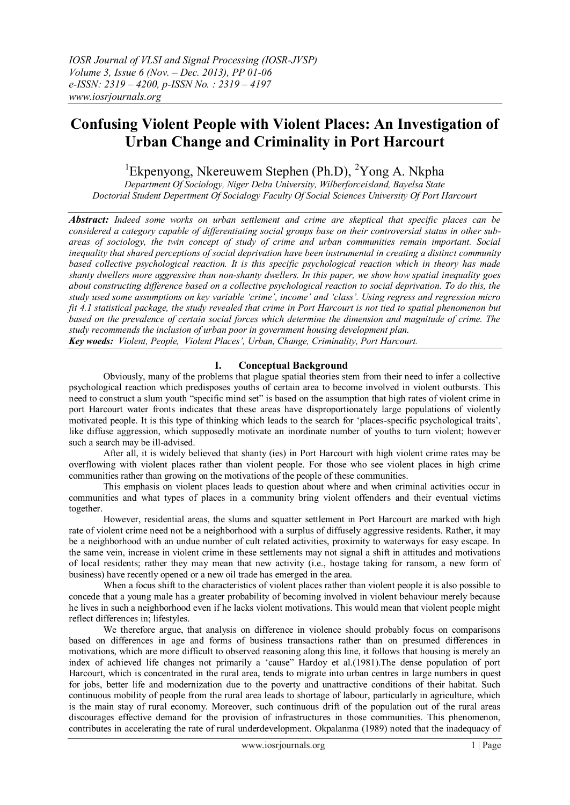# **Confusing Violent People with Violent Places: An Investigation of Urban Change and Criminality in Port Harcourt**

<sup>1</sup>Ekpenyong, Nkereuwem Stephen (Ph.D), <sup>2</sup>Yong A. Nkpha

*Department Of Sociology, Niger Delta University, Wilberforceisland, Bayelsa State Doctorial Student Depertment Of Socialogy Faculty Of Social Sciences University Of Port Harcourt*

*Abstract: Indeed some works on urban settlement and crime are skeptical that specific places can be considered a category capable of differentiating social groups base on their controversial status in other subareas of sociology, the twin concept of study of crime and urban communities remain important. Social inequality that shared perceptions of social deprivation have been instrumental in creating a distinct community based collective psychological reaction. It is this specific psychological reaction which in theory has made shanty dwellers more aggressive than non-shanty dwellers. In this paper, we show how spatial inequality goes about constructing difference based on a collective psychological reaction to social deprivation. To do this, the study used some assumptions on key variable 'crime', income' and 'class'. Using regress and regression micro fit 4.1 statistical package, the study revealed that crime in Port Harcourt is not tied to spatial phenomenon but based on the prevalence of certain social forces which determine the dimension and magnitude of crime. The study recommends the inclusion of urban poor in government housing development plan. Key woeds: Violent, People, Violent Places', Urban, Change, Criminality, Port Harcourt.*

## **I. Conceptual Background**

Obviously, many of the problems that plague spatial theories stem from their need to infer a collective psychological reaction which predisposes youths of certain area to become involved in violent outbursts. This need to construct a slum youth "specific mind set" is based on the assumption that high rates of violent crime in port Harcourt water fronts indicates that these areas have disproportionately large populations of violently motivated people. It is this type of thinking which leads to the search for "places-specific psychological traits", like diffuse aggression, which supposedly motivate an inordinate number of youths to turn violent; however such a search may be ill-advised.

After all, it is widely believed that shanty (ies) in Port Harcourt with high violent crime rates may be overflowing with violent places rather than violent people. For those who see violent places in high crime communities rather than growing on the motivations of the people of these communities.

This emphasis on violent places leads to question about where and when criminal activities occur in communities and what types of places in a community bring violent offenders and their eventual victims together.

However, residential areas, the slums and squatter settlement in Port Harcourt are marked with high rate of violent crime need not be a neighborhood with a surplus of diffusely aggressive residents. Rather, it may be a neighborhood with an undue number of cult related activities, proximity to waterways for easy escape. In the same vein, increase in violent crime in these settlements may not signal a shift in attitudes and motivations of local residents; rather they may mean that new activity (i.e., hostage taking for ransom, a new form of business) have recently opened or a new oil trade has emerged in the area.

When a focus shift to the characteristics of violent places rather than violent people it is also possible to concede that a young male has a greater probability of becoming involved in violent behaviour merely because he lives in such a neighborhood even if he lacks violent motivations. This would mean that violent people might reflect differences in; lifestyles.

We therefore argue, that analysis on difference in violence should probably focus on comparisons based on differences in age and forms of business transactions rather than on presumed differences in motivations, which are more difficult to observed reasoning along this line, it follows that housing is merely an index of achieved life changes not primarily a "cause" Hardoy et al.(1981).The dense population of port Harcourt, which is concentrated in the rural area, tends to migrate into urban centres in large numbers in quest for jobs, better life and modernization due to the poverty and unattractive conditions of their habitat. Such continuous mobility of people from the rural area leads to shortage of labour, particularly in agriculture, which is the main stay of rural economy. Moreover, such continuous drift of the population out of the rural areas discourages effective demand for the provision of infrastructures in those communities. This phenomenon, contributes in accelerating the rate of rural underdevelopment. Okpalanma (1989) noted that the inadequacy of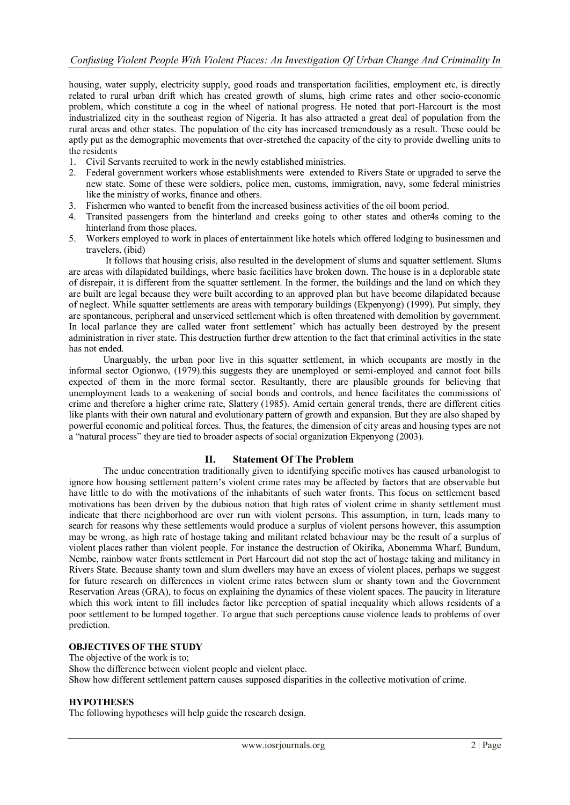housing, water supply, electricity supply, good roads and transportation facilities, employment etc, is directly related to rural urban drift which has created growth of slums, high crime rates and other socio-economic problem, which constitute a cog in the wheel of national progress. He noted that port-Harcourt is the most industrialized city in the southeast region of Nigeria. It has also attracted a great deal of population from the rural areas and other states. The population of the city has increased tremendously as a result. These could be aptly put as the demographic movements that over-stretched the capacity of the city to provide dwelling units to the residents

- 1. Civil Servants recruited to work in the newly established ministries.
- 2. Federal government workers whose establishments were extended to Rivers State or upgraded to serve the new state. Some of these were soldiers, police men, customs, immigration, navy, some federal ministries like the ministry of works, finance and others.
- 3. Fishermen who wanted to benefit from the increased business activities of the oil boom period.
- 4. Transited passengers from the hinterland and creeks going to other states and other4s coming to the hinterland from those places.
- 5. Workers employed to work in places of entertainment like hotels which offered lodging to businessmen and travelers. (ibid)

 It follows that housing crisis, also resulted in the development of slums and squatter settlement. Slums are areas with dilapidated buildings, where basic facilities have broken down. The house is in a deplorable state of disrepair, it is different from the squatter settlement. In the former, the buildings and the land on which they are built are legal because they were built according to an approved plan but have become dilapidated because of neglect. While squatter settlements are areas with temporary buildings (Ekpenyong) (1999). Put simply, they are spontaneous, peripheral and unserviced settlement which is often threatened with demolition by government. In local parlance they are called water front settlement' which has actually been destroyed by the present administration in river state. This destruction further drew attention to the fact that criminal activities in the state has not ended.

 Unarguably, the urban poor live in this squatter settlement, in which occupants are mostly in the informal sector Ogionwo, (1979).this suggests they are unemployed or semi-employed and cannot foot bills expected of them in the more formal sector. Resultantly, there are plausible grounds for believing that unemployment leads to a weakening of social bonds and controls, and hence facilitates the commissions of crime and therefore a higher crime rate, Slattery (1985). Amid certain general trends, there are different cities like plants with their own natural and evolutionary pattern of growth and expansion. But they are also shaped by powerful economic and political forces. Thus, the features, the dimension of city areas and housing types are not a "natural process" they are tied to broader aspects of social organization Ekpenyong (2003).

## **II. Statement Of The Problem**

The undue concentration traditionally given to identifying specific motives has caused urbanologist to ignore how housing settlement pattern"s violent crime rates may be affected by factors that are observable but have little to do with the motivations of the inhabitants of such water fronts. This focus on settlement based motivations has been driven by the dubious notion that high rates of violent crime in shanty settlement must indicate that there neighborhood are over run with violent persons. This assumption, in turn, leads many to search for reasons why these settlements would produce a surplus of violent persons however, this assumption may be wrong, as high rate of hostage taking and militant related behaviour may be the result of a surplus of violent places rather than violent people. For instance the destruction of Okirika, Abonemma Wharf, Bundum, Nembe, rainbow water fronts settlement in Port Harcourt did not stop the act of hostage taking and militancy in Rivers State. Because shanty town and slum dwellers may have an excess of violent places, perhaps we suggest for future research on differences in violent crime rates between slum or shanty town and the Government Reservation Areas (GRA), to focus on explaining the dynamics of these violent spaces. The paucity in literature which this work intent to fill includes factor like perception of spatial inequality which allows residents of a poor settlement to be lumped together. To argue that such perceptions cause violence leads to problems of over prediction.

## **OBJECTIVES OF THE STUDY**

The objective of the work is to; Show the difference between violent people and violent place. Show how different settlement pattern causes supposed disparities in the collective motivation of crime.

#### **HYPOTHESES**

The following hypotheses will help guide the research design.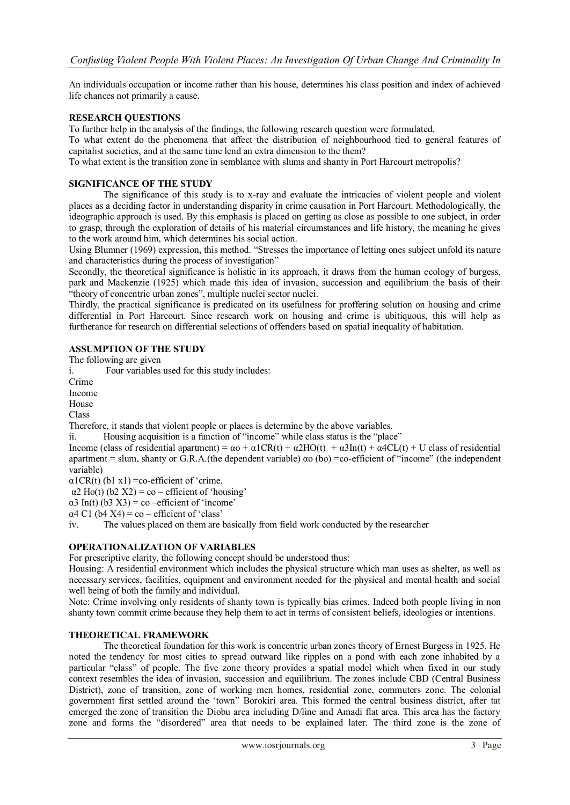An individuals occupation or income rather than his house, determines his class position and index of achieved life chances not primarily a cause.

## **RESEARCH QUESTIONS**

To further help in the analysis of the findings, the following research question were formulated.

To what extent do the phenomena that affect the distribution of neighbourhood tied to general features of capitalist societies, and at the same time lend an extra dimension to the them?

To what extent is the transition zone in semblance with slums and shanty in Port Harcourt metropolis?

## **SIGNIFICANCE OF THE STUDY**

The significance of this study is to x-ray and evaluate the intricacies of violent people and violent places as a deciding factor in understanding disparity in crime causation in Port Harcourt. Methodologically, the ideographic approach is used. By this emphasis is placed on getting as close as possible to one subject, in order to grasp, through the exploration of details of his material circumstances and life history, the meaning he gives to the work around him, which determines his social action.

Using Blumner (1969) expression, this method. "Stresses the importance of letting ones subject unfold its nature and characteristics during the process of investigation"

Secondly, the theoretical significance is holistic in its approach, it draws from the human ecology of burgess, park and Mackenzie (1925) which made this idea of invasion, succession and equilibrium the basis of their "theory of concentric urban zones", multiple nuclei sector nuclei.

Thirdly, the practical significance is predicated on its usefulness for proffering solution on housing and crime differential in Port Harcourt. Since research work on housing and crime is ubitiquous, this will help as furtherance for research on differential selections of offenders based on spatial inequality of habitation.

## **ASSUMPTION OF THE STUDY**

The following are given

i. Four variables used for this study includes:

Crime

Income

House

Class

Therefore, it stands that violent people or places is determine by the above variables.

ii. Housing acquisition is a function of "income" while class status is the "place"

Income (class of residential apartment) =  $\alpha$  +  $\alpha$ 1CR(t) +  $\alpha$ 2HO(t) +  $\alpha$ 3In(t) +  $\alpha$ 4CL(t) + U class of residential apartment = slum, shanty or G.R.A.(the dependent variable) αo (bo) =co-efficient of "income" (the independent variable)

 $\alpha$ 1CR(t) (b1 x1) = co-efficient of 'crime.

 $\alpha$ 2 Ho(t) (b2 X2) = co – efficient of 'housing'

 $\alpha$ 3 In(t) (b3 X3) = co –efficient of 'income'

 $\alpha$ 4 C1 (b4 X4) = co – efficient of 'class'

iv. The values placed on them are basically from field work conducted by the researcher

#### **OPERATIONALIZATION OF VARIABLES**

For prescriptive clarity, the following concept should be understood thus:

Housing: A residential environment which includes the physical structure which man uses as shelter, as well as necessary services, facilities, equipment and environment needed for the physical and mental health and social well being of both the family and individual.

Note: Crime involving only residents of shanty town is typically bias crimes. Indeed both people living in non shanty town commit crime because they help them to act in terms of consistent beliefs, ideologies or intentions.

## **THEORETICAL FRAMEWORK**

The theoretical foundation for this work is concentric urban zones theory of Ernest Burgess in 1925. He noted the tendency for most cities to spread outward like ripples on a pond with each zone inhabited by a particular "class" of people. The five zone theory provides a spatial model which when fixed in our study context resembles the idea of invasion, succession and equilibrium. The zones include CBD (Central Business District), zone of transition, zone of working men homes, residential zone, commuters zone. The colonial government first settled around the "town" Borokiri area. This formed the central business district, after tat emerged the zone of transition the Diobu area including D/line and Amadi flat area. This area has the factory zone and forms the "disordered" area that needs to be explained later. The third zone is the zone of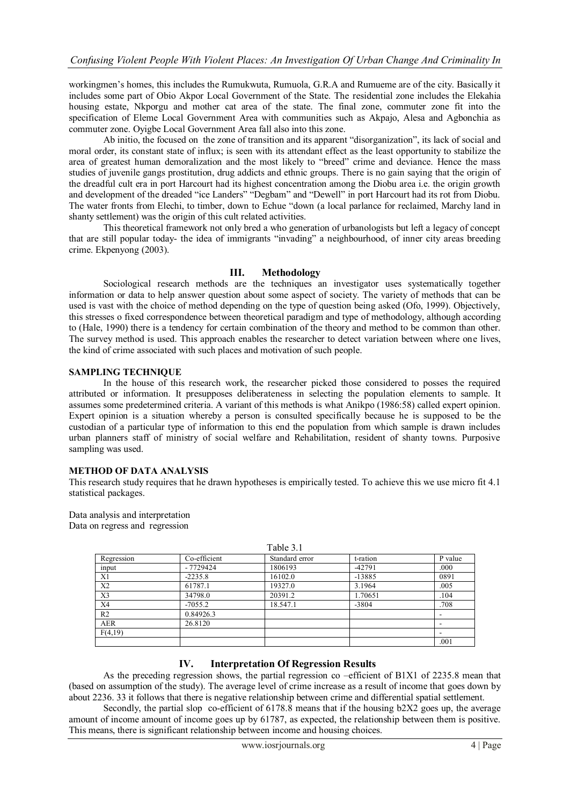workingmen"s homes, this includes the Rumukwuta, Rumuola, G.R.A and Rumueme are of the city. Basically it includes some part of Obio Akpor Local Government of the State. The residential zone includes the Elekahia housing estate, Nkporgu and mother cat area of the state. The final zone, commuter zone fit into the specification of Eleme Local Government Area with communities such as Akpajo, Alesa and Agbonchia as commuter zone. Oyigbe Local Government Area fall also into this zone.

Ab initio, the focused on the zone of transition and its apparent "disorganization", its lack of social and moral order, its constant state of influx; is seen with its attendant effect as the least opportunity to stabilize the area of greatest human demoralization and the most likely to "breed" crime and deviance. Hence the mass studies of juvenile gangs prostitution, drug addicts and ethnic groups. There is no gain saying that the origin of the dreadful cult era in port Harcourt had its highest concentration among the Diobu area i.e. the origin growth and development of the dreaded "ice Landers" "Degbam" and "Dewell" in port Harcourt had its rot from Diobu. The water fronts from Elechi, to timber, down to Echue "down (a local parlance for reclaimed, Marchy land in shanty settlement) was the origin of this cult related activities.

This theoretical framework not only bred a who generation of urbanologists but left a legacy of concept that are still popular today- the idea of immigrants "invading" a neighbourhood, of inner city areas breeding crime. Ekpenyong (2003).

## **III. Methodology**

Sociological research methods are the techniques an investigator uses systematically together information or data to help answer question about some aspect of society. The variety of methods that can be used is vast with the choice of method depending on the type of question being asked (Ofo, 1999). Objectively, this stresses o fixed correspondence between theoretical paradigm and type of methodology, although according to (Hale, 1990) there is a tendency for certain combination of the theory and method to be common than other. The survey method is used. This approach enables the researcher to detect variation between where one lives, the kind of crime associated with such places and motivation of such people.

## **SAMPLING TECHNIQUE**

In the house of this research work, the researcher picked those considered to posses the required attributed or information. It presupposes deliberateness in selecting the population elements to sample. It assumes some predetermined criteria. A variant of this methods is what Anikpo (1986:58) called expert opinion. Expert opinion is a situation whereby a person is consulted specifically because he is supposed to be the custodian of a particular type of information to this end the population from which sample is drawn includes urban planners staff of ministry of social welfare and Rehabilitation, resident of shanty towns. Purposive sampling was used.

## **METHOD OF DATA ANALYSIS**

This research study requires that he drawn hypotheses is empirically tested. To achieve this we use micro fit 4.1 statistical packages.

Data analysis and interpretation Data on regress and regression

| $1$ uviv $\cup$ . $1$ |              |                |          |         |
|-----------------------|--------------|----------------|----------|---------|
| Regression            | Co-efficient | Standard error | t-ration | P value |
| input                 | $-7729424$   | 1806193        | $-42791$ | .000    |
| X1                    | $-2235.8$    | 16102.0        | $-13885$ | 0891    |
| X <sub>2</sub>        | 61787.1      | 19327.0        | 3.1964   | .005    |
| X3                    | 34798.0      | 20391.2        | 1.70651  | .104    |
| X4                    | $-7055.2$    | 18.547.1       | $-3804$  | .708    |
| R <sub>2</sub>        | 0.84926.3    |                |          |         |
| <b>AER</b>            | 26.8120      |                |          |         |
| F(4,19)               |              |                |          |         |
|                       |              |                |          | .001    |

Table 3.1

# **IV. Interpretation Of Regression Results**

As the preceding regression shows, the partial regression co –efficient of B1X1 of 2235.8 mean that (based on assumption of the study). The average level of crime increase as a result of income that goes down by about 2236. 33 it follows that there is negative relationship between crime and differential spatial settlement.

Secondly, the partial slop co-efficient of  $6178.8$  means that if the housing  $b2X2$  goes up, the average amount of income amount of income goes up by 61787, as expected, the relationship between them is positive. This means, there is significant relationship between income and housing choices.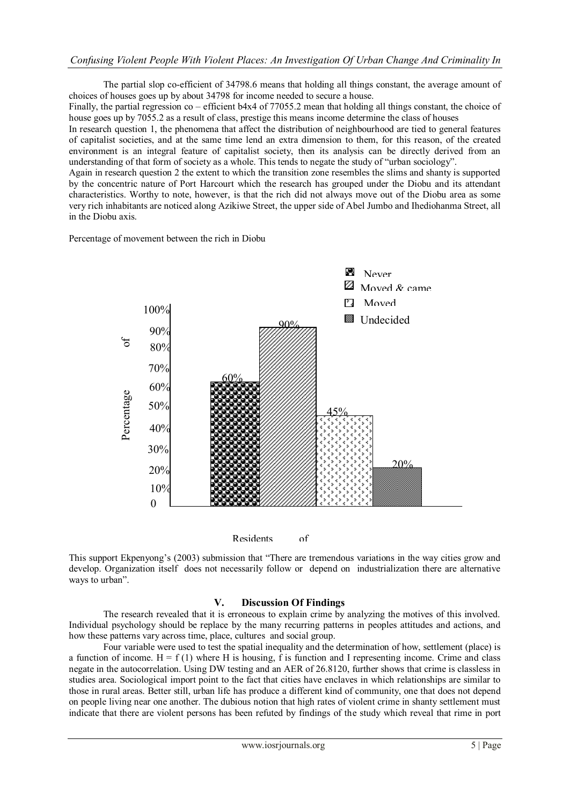## *Confusing Violent People With Violent Places: An Investigation Of Urban Change And Criminality In*

The partial slop co-efficient of 34798.6 means that holding all things constant, the average amount of choices of houses goes up by about 34798 for income needed to secure a house.

Finally, the partial regression co – efficient b4x4 of 77055.2 mean that holding all things constant, the choice of house goes up by 7055.2 as a result of class, prestige this means income determine the class of houses

In research question 1, the phenomena that affect the distribution of neighbourhood are tied to general features of capitalist societies, and at the same time lend an extra dimension to them, for this reason, of the created environment is an integral feature of capitalist society, then its analysis can be directly derived from an understanding of that form of society as a whole. This tends to negate the study of "urban sociology".

Again in research question 2 the extent to which the transition zone resembles the slims and shanty is supported by the concentric nature of Port Harcourt which the research has grouped under the Diobu and its attendant characteristics. Worthy to note, however, is that the rich did not always move out of the Diobu area as some very rich inhabitants are noticed along Azikiwe Street, the upper side of Abel Jumbo and Ihediohanma Street, all in the Diobu axis.

Percentage of movement between the rich in Diobu



Residents of

This support Ekpenyong"s (2003) submission that "There are tremendous variations in the way cities grow and This support Experiyong's (2003) submission that There are tremendous variations in the way crites grow and develop. Organization itself does not necessarily follow or depend on industrialization there are alternative ways to urban".

## **V. Discussion Of Findings**

The research revealed that it is erroneous to explain crime by analyzing the motives of this involved. Individual psychology should be replace by the many recurring patterns in peoples attitudes and actions, and how these patterns vary across time, place, cultures and social group.

Four variable were used to test the spatial inequality and the determination of how, settlement (place) is a function of income.  $H = f(1)$  where H is housing, f is function and I representing income. Crime and class negate in the autocorrelation. Using DW testing and an AER of 26.8120, further shows that crime is classless in studies area. Sociological import point to the fact that cities have enclaves in which relationships are similar to those in rural areas. Better still, urban life has produce a different kind of community, one that does not depend on people living near one another. The dubious notion that high rates of violent crime in shanty settlement must indicate that there are violent persons has been refuted by findings of the study which reveal that rime in port